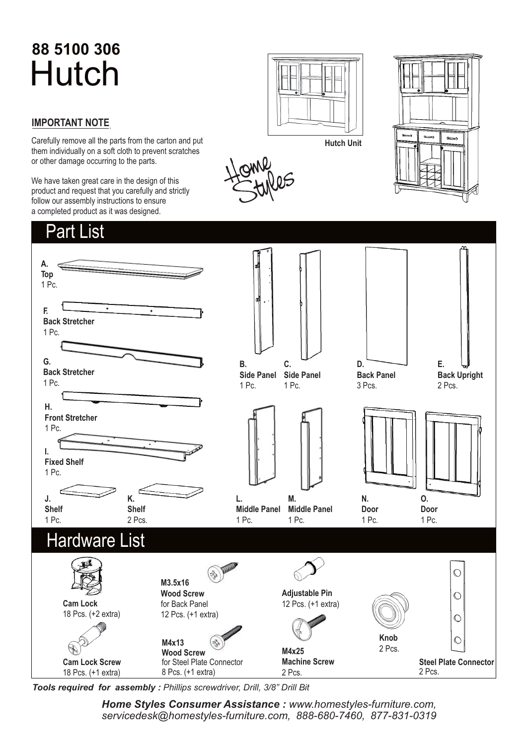# **88 5100 306** Hutch

#### **IMPORTANT NOTE**.

Carefully remove all the parts from the carton and put them individually on a soft cloth to prevent scratches or other damage occurring to the parts.

We have taken great care in the design of this product and request that you carefully and strictly follow our assembly instructions to ensure a completed product as it was designed.









*Tools required for assembly : Phillips screwdriver, Drill, 3/8" Drill Bit*

*Home Styles Consumer Assistance : www.homestyles-furniture.com, servicedesk@homestyles-furniture.com, 888-680-7460, 877-831-0319*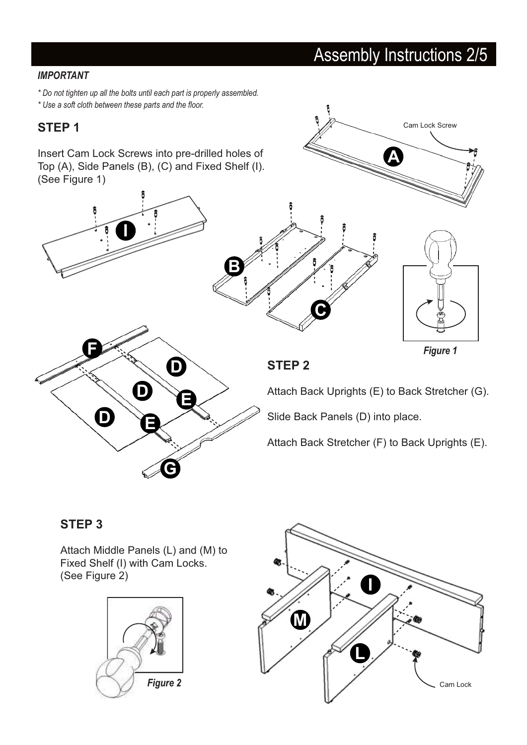### Assembly Instructions 2/5

Cam Lock Screw

#### **IMPORTANT**

*\* Do not tighten up all the bolts until each part is properly assembled.*

*\* Use a soft cloth between these parts and the floor.*

#### **STEP 1**



#### **STEP 3**

Attach Middle Panels (L) and (M) to Fixed Shelf (I) with Cam Locks. (See Figure 2)



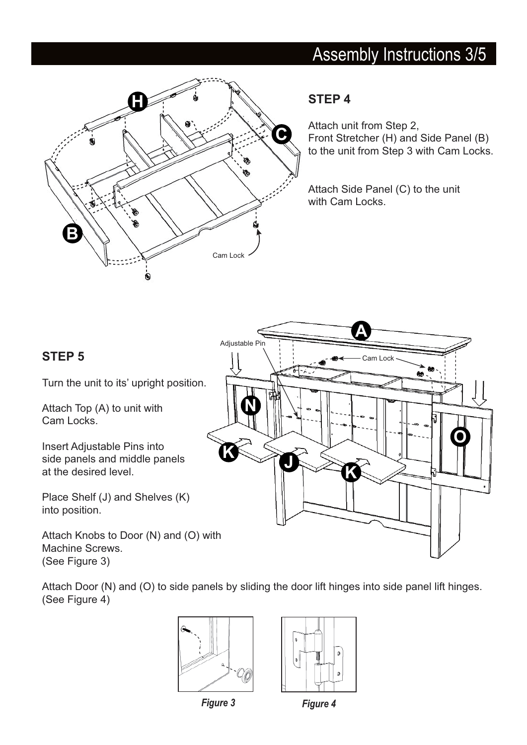### Assembly Instructions 3/5



#### **STEP 4**

Attach unit from Step 2, Front Stretcher (H) and Side Panel (B) to the unit from Step 3 with Cam Locks.

Attach Side Panel (C) to the unit with Cam Locks.

#### **STEP 5**

Turn the unit to its' upright position.

Attach Top (A) to unit with Cam Locks.

Insert Adjustable Pins into side panels and middle panels at the desired level.

Place Shelf (J) and Shelves (K) into position.

Attach Knobs to Door (N) and (O) with Machine Screws. (See Figure 3)



Attach Door (N) and (O) to side panels by sliding the door lift hinges into side panel lift hinges. (See Figure 4)





*Figure 3 Figure 4*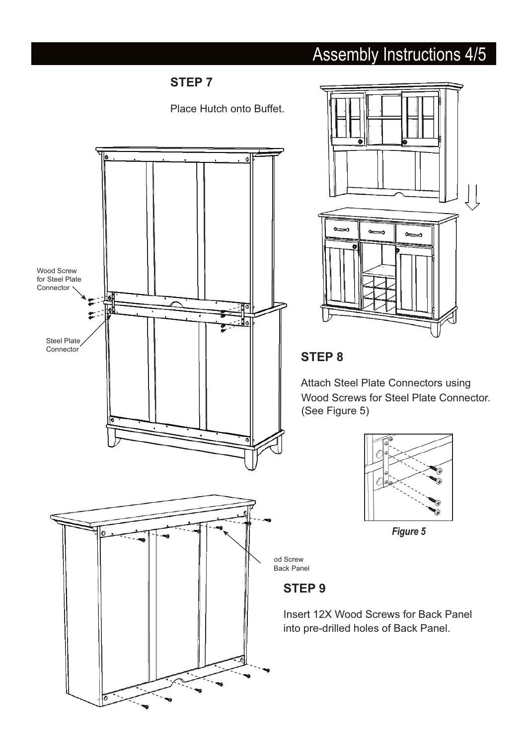## Assembly Instructions 4/5

#### **STEP 7**

Place Hutch onto Buffet.





#### **STEP 8**

Attach Steel Plate Connectors using Wood Screws for Steel Plate Connector. (See Figure 5)



*Figure 5*

od Screw Back Panel

#### **STEP 9**

Insert 12X Wood Screws for Back Panel into pre-drilled holes of Back Panel.